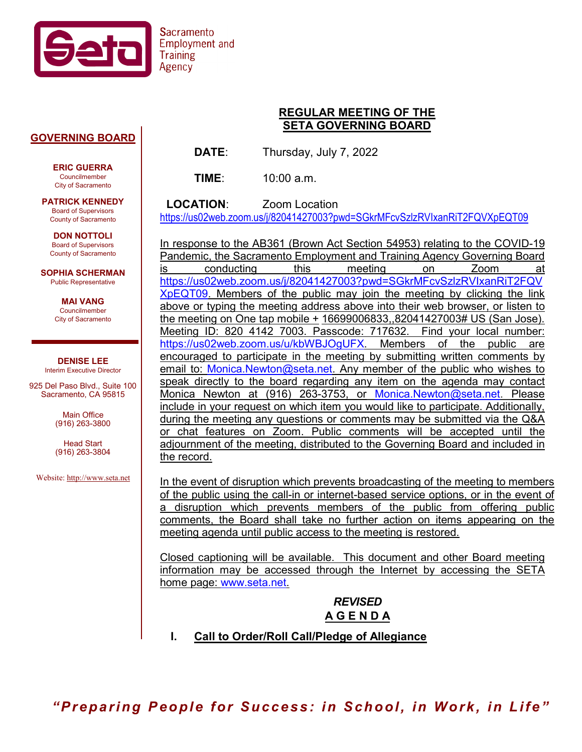

# **Sacramento Employment and Training**

#### **GOVERNING BOARD**

**ERIC GUERRA** Councilmember City of Sacramento

**PATRICK KENNEDY** Board of Supervisors County of Sacramento

**DON NOTTOLI** Board of Supervisors County of Sacramento

**SOPHIA SCHERMAN** Public Representative

> **MAI VANG** Councilmember City of Sacramento

**DENISE LEE** Interim Executive Director

925 Del Paso Blvd., Suite 100 Sacramento, CA 95815

> Main Office (916) 263-3800

> Head Start (916) 263-3804

Website[: http://www.seta.net](http://www.seta.net/)

### **REGULAR MEETING OF THE SETA GOVERNING BOARD**

**DATE**: Thursday, July 7, 2022

**TIME**: 10:00 a.m.

 **LOCATION**: Zoom Location <https://us02web.zoom.us/j/82041427003?pwd=SGkrMFcvSzlzRVIxanRiT2FQVXpEQT09>

In response to the AB361 (Brown Act Section 54953) relating to the COVID-19 Pandemic, the Sacramento Employment and Training Agency Governing Board is conducting this meeting on Zoom at [https://us02web.zoom.us/j/82041427003?pwd=SGkrMFcvSzlzRVIxanRiT2FQV](https://us02web.zoom.us/j/82041427003?pwd=SGkrMFcvSzlzRVIxanRiT2FQVXpEQT09) [XpEQT09.](https://us02web.zoom.us/j/82041427003?pwd=SGkrMFcvSzlzRVIxanRiT2FQVXpEQT09) Members of the public may join the meeting by clicking the link above or typing the meeting address above into their web browser, or listen to the meeting on One tap mobile + 16699006833,,82041427003# US (San Jose). Meeting ID: 820 4142 7003. Passcode: 717632. Find your local number: [https://us02web.zoom.us/u/kbWBJOgUFX.](https://us02web.zoom.us/u/kbWBJOgUFX) Members of the public are encouraged to participate in the meeting by submitting written comments by email to: Monica.Newton@seta.net. Any member of the public who wishes to speak directly to the board regarding any item on the agenda may contact Monica Newton at (916) 263-3753, or [Monica.Newton@seta.net.](mailto:Monica.Newton@seta.net) Please include in your request on which item you would like to participate. Additionally, during the meeting any questions or comments may be submitted via the Q&A or chat features on Zoom. Public comments will be accepted until the adjournment of the meeting, distributed to the Governing Board and included in the record.

In the event of disruption which prevents broadcasting of the meeting to members of the public using the call-in or internet-based service options, or in the event of a disruption which prevents members of the public from offering public comments, the Board shall take no further action on items appearing on the meeting agenda until public access to the meeting is restored.

Closed captioning will be available. This document and other Board meeting information may be accessed through the Internet by accessing the SETA home page: [www.seta.net.](http://www.seta.net/)

> *REVISED* **A G E N D A**

**I. Call to Order/Roll Call/Pledge of Allegiance**

*"Preparing People for Success: in School, in Work, in Life"*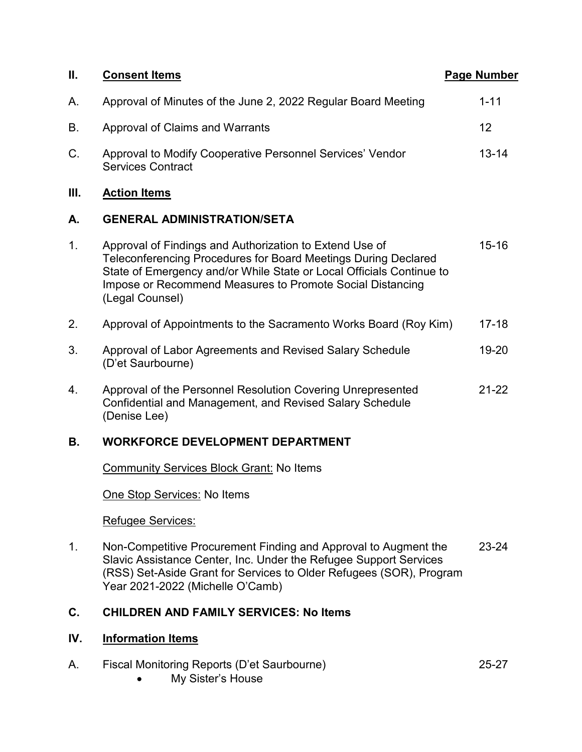| П.  | <b>Consent Items</b>                                                                                                                                                                                                                                                              | <b>Page Number</b> |
|-----|-----------------------------------------------------------------------------------------------------------------------------------------------------------------------------------------------------------------------------------------------------------------------------------|--------------------|
| A.  | Approval of Minutes of the June 2, 2022 Regular Board Meeting                                                                                                                                                                                                                     | $1 - 11$           |
| В.  | <b>Approval of Claims and Warrants</b>                                                                                                                                                                                                                                            | 12                 |
| С.  | Approval to Modify Cooperative Personnel Services' Vendor<br><b>Services Contract</b>                                                                                                                                                                                             | $13 - 14$          |
| Ш.  | <b>Action Items</b>                                                                                                                                                                                                                                                               |                    |
| А.  | <b>GENERAL ADMINISTRATION/SETA</b>                                                                                                                                                                                                                                                |                    |
| 1.  | Approval of Findings and Authorization to Extend Use of<br>Teleconferencing Procedures for Board Meetings During Declared<br>State of Emergency and/or While State or Local Officials Continue to<br>Impose or Recommend Measures to Promote Social Distancing<br>(Legal Counsel) | $15 - 16$          |
| 2.  | Approval of Appointments to the Sacramento Works Board (Roy Kim)                                                                                                                                                                                                                  | $17 - 18$          |
| 3.  | Approval of Labor Agreements and Revised Salary Schedule<br>(D'et Saurbourne)                                                                                                                                                                                                     | 19-20              |
| 4.  | Approval of the Personnel Resolution Covering Unrepresented<br>Confidential and Management, and Revised Salary Schedule<br>(Denise Lee)                                                                                                                                           | $21 - 22$          |
| В.  | <b>WORKFORCE DEVELOPMENT DEPARTMENT</b>                                                                                                                                                                                                                                           |                    |
|     | <b>Community Services Block Grant: No Items</b>                                                                                                                                                                                                                                   |                    |
|     | One Stop Services: No Items                                                                                                                                                                                                                                                       |                    |
|     | Refugee Services:                                                                                                                                                                                                                                                                 |                    |
| 1.  | Non-Competitive Procurement Finding and Approval to Augment the<br>Slavic Assistance Center, Inc. Under the Refugee Support Services<br>(RSS) Set-Aside Grant for Services to Older Refugees (SOR), Program<br>Year 2021-2022 (Michelle O'Camb)                                   | $23 - 24$          |
| C.  | <b>CHILDREN AND FAMILY SERVICES: No Items</b>                                                                                                                                                                                                                                     |                    |
| IV. | <b>Information Items</b>                                                                                                                                                                                                                                                          |                    |

- A. Fiscal Monitoring Reports (D'et Saurbourne) 25-27
	- My Sister's House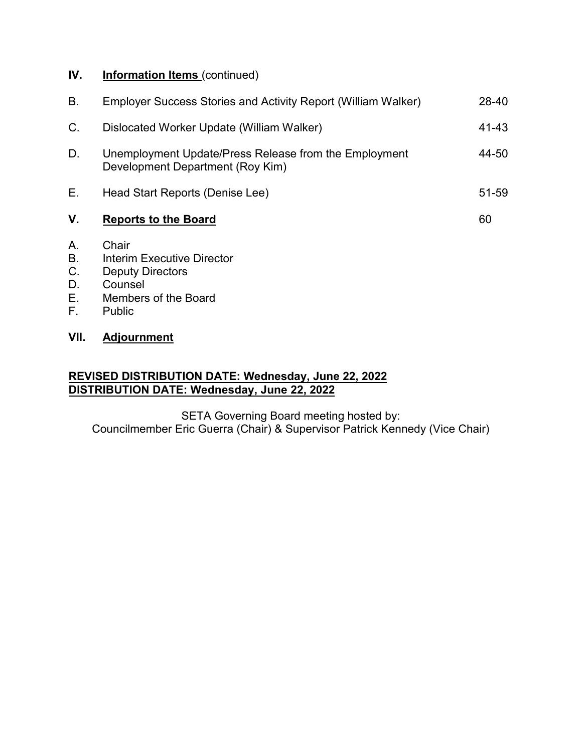## **IV. Information Items** (continued)

| В.             | Employer Success Stories and Activity Report (William Walker)                             | 28-40 |
|----------------|-------------------------------------------------------------------------------------------|-------|
| $C_{\cdot}$    | Dislocated Worker Update (William Walker)                                                 | 41-43 |
| D.             | Unemployment Update/Press Release from the Employment<br>Development Department (Roy Kim) | 44-50 |
| Е.             | Head Start Reports (Denise Lee)                                                           | 51-59 |
| V.             | <b>Reports to the Board</b>                                                               | 60    |
| Α.<br>В.<br>C. | Chair<br><b>Interim Executive Director</b><br><b>Deputy Directors</b>                     |       |

- D. Counsel<br>E. Members
- E. Members of the Board<br>F. Public
- Public

## **VII. Adjournment**

# **REVISED DISTRIBUTION DATE: Wednesday, June 22, 2022 DISTRIBUTION DATE: Wednesday, June 22, 2022**

SETA Governing Board meeting hosted by: Councilmember Eric Guerra (Chair) & Supervisor Patrick Kennedy (Vice Chair)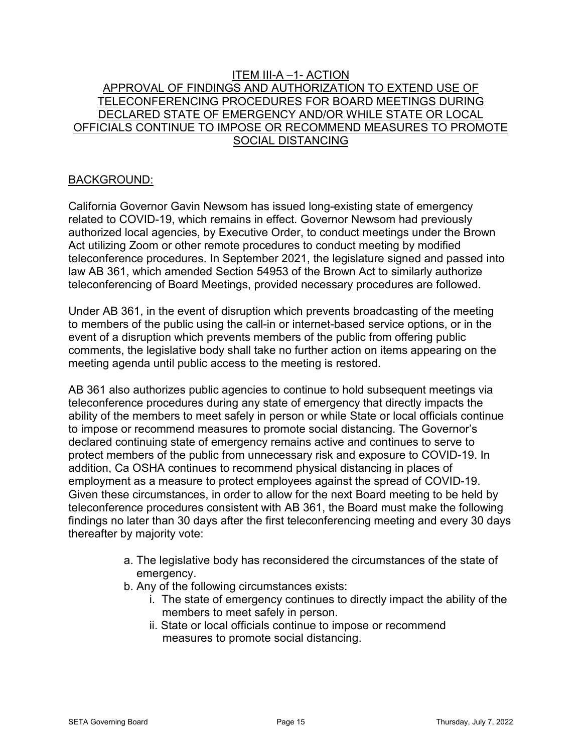### ITEM III-A –1- ACTION APPROVAL OF FINDINGS AND AUTHORIZATION TO EXTEND USE OF TELECONFERENCING PROCEDURES FOR BOARD MEETINGS DURING DECLARED STATE OF EMERGENCY AND/OR WHILE STATE OR LOCAL OFFICIALS CONTINUE TO IMPOSE OR RECOMMEND MEASURES TO PROMOTE SOCIAL DISTANCING

### BACKGROUND:

California Governor Gavin Newsom has issued long-existing state of emergency related to COVID-19, which remains in effect. Governor Newsom had previously authorized local agencies, by Executive Order, to conduct meetings under the Brown Act utilizing Zoom or other remote procedures to conduct meeting by modified teleconference procedures. In September 2021, the legislature signed and passed into law AB 361, which amended Section 54953 of the Brown Act to similarly authorize teleconferencing of Board Meetings, provided necessary procedures are followed.

Under AB 361, in the event of disruption which prevents broadcasting of the meeting to members of the public using the call-in or internet-based service options, or in the event of a disruption which prevents members of the public from offering public comments, the legislative body shall take no further action on items appearing on the meeting agenda until public access to the meeting is restored.

AB 361 also authorizes public agencies to continue to hold subsequent meetings via teleconference procedures during any state of emergency that directly impacts the ability of the members to meet safely in person or while State or local officials continue to impose or recommend measures to promote social distancing. The Governor's declared continuing state of emergency remains active and continues to serve to protect members of the public from unnecessary risk and exposure to COVID-19. In addition, Ca OSHA continues to recommend physical distancing in places of employment as a measure to protect employees against the spread of COVID-19. Given these circumstances, in order to allow for the next Board meeting to be held by teleconference procedures consistent with AB 361, the Board must make the following findings no later than 30 days after the first teleconferencing meeting and every 30 days thereafter by majority vote:

- a. The legislative body has reconsidered the circumstances of the state of emergency.
- b. Any of the following circumstances exists:
	- i. The state of emergency continues to directly impact the ability of the members to meet safely in person.
	- ii. State or local officials continue to impose or recommend measures to promote social distancing.